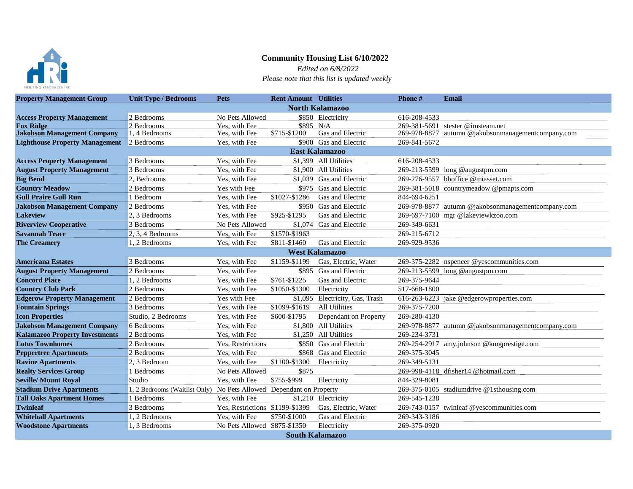

## **Community Housing List 6/10/2022**

 *Edited on 6/8/2022 Please note that this list is updated weekly*

| <b>Property Management Group</b>      | <b>Unit Type / Bedrooms</b>                                         | <b>Pets</b>                     | <b>Rent Amount</b> Utilities |                                 | Phone #      | <b>Email</b>                                       |  |  |  |  |
|---------------------------------------|---------------------------------------------------------------------|---------------------------------|------------------------------|---------------------------------|--------------|----------------------------------------------------|--|--|--|--|
|                                       | <b>North Kalamazoo</b>                                              |                                 |                              |                                 |              |                                                    |  |  |  |  |
| <b>Access Property Management</b>     | 2 Bedrooms                                                          | No Pets Allowed                 |                              | \$850 Electricity               | 616-208-4533 |                                                    |  |  |  |  |
| <b>Fox Ridge</b>                      | 2 Bedrooms                                                          | Yes, with Fee                   | \$895 N/A                    |                                 |              | 269-381-5691 stester @imsteam.net                  |  |  |  |  |
| <b>Jakobson Management Company</b>    | 1, 4 Bedrooms                                                       | Yes, with Fee                   | \$715-\$1200                 | Gas and Electric                | 269-978-8877 | autumn @jakobsonmanagementcompany.com              |  |  |  |  |
| <b>Lighthouse Property Management</b> | 2 Bedrooms                                                          | Yes, with Fee                   |                              | \$900 Gas and Electric          | 269-841-5672 |                                                    |  |  |  |  |
|                                       |                                                                     |                                 |                              | <b>East Kalamazoo</b>           |              |                                                    |  |  |  |  |
| <b>Access Property Management</b>     | 3 Bedrooms                                                          | Yes, with Fee                   |                              | \$1,399 All Utilities           | 616-208-4533 |                                                    |  |  |  |  |
| <b>August Property Management</b>     | 3 Bedrooms                                                          | Yes, with Fee                   |                              | \$1.900 All Utilities           |              | 269-213-5599 long @augustpm.com                    |  |  |  |  |
| <b>Big Bend</b>                       | 2. Bedrooms                                                         | Yes, with Fee                   |                              | \$1,039 Gas and Electric        |              | 269-276-9557 bboffice @miasset.com                 |  |  |  |  |
| <b>Country Meadow</b>                 | 2 Bedrooms                                                          | Yes with Fee                    |                              | \$975 Gas and Electric          |              | 269-381-5018 countrymeadow @pmapts.com             |  |  |  |  |
| <b>Gull Praire Gull Run</b>           | 1 Bedroom                                                           | Yes, with Fee                   | \$1027-\$1286                | Gas and Electric                | 844-694-6251 |                                                    |  |  |  |  |
| <b>Jakobson Management Company</b>    | 2 Bedrooms                                                          | Yes, with Fee                   |                              | \$950 Gas and Electric          |              | 269-978-8877 autumn @jakobsonmanagementcompany.com |  |  |  |  |
| <b>Lakeview</b>                       | 2, 3 Bedrooms                                                       | Yes, with Fee                   | \$925-\$1295                 | Gas and Electric                |              | 269-697-7100 mgr @lakeviewkzoo.com                 |  |  |  |  |
| <b>Riverview Cooperative</b>          | 3 Bedrooms                                                          | No Pets Allowed                 |                              | \$1,074 Gas and Electric        | 269-349-6631 |                                                    |  |  |  |  |
| <b>Savannah Trace</b>                 | $2, 3, 4$ Bedrooms                                                  | Yes, with Fee                   | \$1570-\$1963                |                                 | 269-215-6712 |                                                    |  |  |  |  |
| <b>The Creamery</b>                   | 1, 2 Bedrooms                                                       | Yes, with Fee                   | \$811-\$1460                 | Gas and Electric                | 269-929-9536 |                                                    |  |  |  |  |
|                                       | <b>West Kalamazoo</b>                                               |                                 |                              |                                 |              |                                                    |  |  |  |  |
| <b>Americana Estates</b>              | 3 Bedrooms                                                          | Yes, with Fee                   | \$1159-\$1199                | Gas, Electric, Water            |              | 269-375-2282 nspencer @yescommunities.com          |  |  |  |  |
| <b>August Property Management</b>     | 2 Bedrooms                                                          | Yes, with Fee                   |                              | \$895 Gas and Electric          |              | 269-213-5599 long @augustpm.com                    |  |  |  |  |
| <b>Concord Place</b>                  | 1.2 Bedrooms                                                        | Yes, with Fee                   | \$761-\$1225                 | Gas and Electric                | 269-375-9644 |                                                    |  |  |  |  |
| <b>Country Club Park</b>              | 2 Bedrooms                                                          | Yes, with Fee                   | \$1050-\$1300                | Electricity                     | 517-668-1800 |                                                    |  |  |  |  |
| <b>Edgerow Property Management</b>    | 2 Bedrooms                                                          | Yes with Fee                    |                              | \$1,095 Electricity, Gas, Trash |              | 616-263-6223 jake @edgerowproperties.com           |  |  |  |  |
| <b>Fountain Springs</b>               | 3 Bedrooms                                                          | Yes, with Fee                   | \$1099-\$1619                | <b>All Utilities</b>            | 269-375-7200 |                                                    |  |  |  |  |
| <b>Icon Properties</b>                | Studio, 2 Bedrooms                                                  | Yes, with Fee                   | \$600-\$1795                 | Dependant on Property           | 269-280-4130 |                                                    |  |  |  |  |
| <b>Jakobson Management Company</b>    | 6 Bedrooms                                                          | Yes, with Fee                   |                              | \$1,800 All Utilities           |              | 269-978-8877 autumn @jakobsonmanagementcompany.com |  |  |  |  |
| <b>Kalamazoo Property Investments</b> | 2 Bedrooms                                                          | Yes, with Fee                   |                              | \$1,250 All Utilities           | 269-234-3731 |                                                    |  |  |  |  |
| <b>Lotus Townhomes</b>                | 2 Bedrooms                                                          | Yes. Restrictions               |                              | \$850 Gas and Electric          |              | 269-254-2917 amy.johnson @kmgprestige.com          |  |  |  |  |
| <b>Peppertree Apartments</b>          | 2 Bedrooms                                                          | Yes, with Fee                   |                              | \$868 Gas and Electric          | 269-375-3045 |                                                    |  |  |  |  |
| <b>Ravine Apartments</b>              | 2.3 Bedroom                                                         | Yes, with Fee                   | \$1100-\$1300                | Electricity                     | 269-349-5131 |                                                    |  |  |  |  |
| <b>Realty Services Group</b>          | 1 Bedrooms                                                          | No Pets Allowed                 | \$875                        |                                 |              | 269-998-4118 dfisher14 @hotmail.com                |  |  |  |  |
| <b>Seville/ Mount Royal</b>           | Studio                                                              | Yes, with Fee                   | \$755-\$999                  | Electricity                     | 844-329-8081 |                                                    |  |  |  |  |
| <b>Stadium Drive Apartments</b>       | 1, 2 Bedrooms (Waitlist Only) No Pets Allowed Dependant on Property |                                 |                              |                                 |              | 269-375-0105 stadiumdrive @1sthousing.com          |  |  |  |  |
| <b>Tall Oaks Apartment Homes</b>      | 1 Bedrooms                                                          | Yes, with Fee                   |                              | \$1,210 Electricity             | 269-545-1238 |                                                    |  |  |  |  |
| <b>Twinleaf</b>                       | 3 Bedrooms                                                          | Yes, Restrictions \$1199-\$1399 |                              | Gas, Electric, Water            |              | 269-743-0157 twinleaf @yescommunities.com          |  |  |  |  |
| <b>Whitehall Apartments</b>           | 1, 2 Bedrooms                                                       | Yes, with Fee                   | \$750-\$1000                 | Gas and Electric                | 269-343-3186 |                                                    |  |  |  |  |
| <b>Woodstone Apartments</b>           | 1, 3 Bedrooms                                                       | No Pets Allowed \$875-\$1350    |                              | Electricity                     | 269-375-0920 |                                                    |  |  |  |  |
| <b>South Kalamazoo</b>                |                                                                     |                                 |                              |                                 |              |                                                    |  |  |  |  |